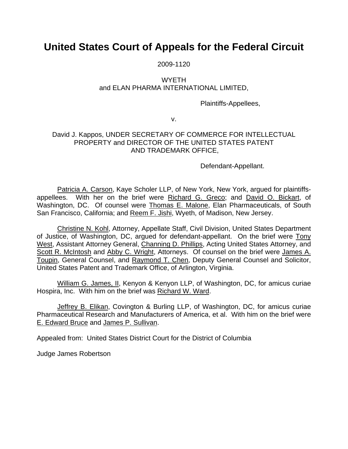# **United States Court of Appeals for the Federal Circuit**

2009-1120

## WYETH and ELAN PHARMA INTERNATIONAL LIMITED,

Plaintiffs-Appellees,

v.

### David J. Kappos, UNDER SECRETARY OF COMMERCE FOR INTELLECTUAL PROPERTY and DIRECTOR OF THE UNITED STATES PATENT AND TRADEMARK OFFICE,

Defendant-Appellant.

Patricia A. Carson, Kaye Scholer LLP, of New York, New York, argued for plaintiffsappellees. With her on the brief were Richard G. Greco; and David O. Bickart, of Washington, DC. Of counsel were Thomas E. Malone, Elan Pharmaceuticals, of South San Francisco, California; and Reem F. Jishi, Wyeth, of Madison, New Jersey.

Christine N. Kohl, Attorney, Appellate Staff, Civil Division, United States Department of Justice, of Washington, DC, argued for defendant-appellant. On the brief were Tony West, Assistant Attorney General, Channing D. Phillips, Acting United States Attorney, and Scott R. McIntosh and Abby C. Wright, Attorneys. Of counsel on the brief were James A. Toupin, General Counsel, and Raymond T. Chen, Deputy General Counsel and Solicitor, United States Patent and Trademark Office, of Arlington, Virginia.

William G. James, II, Kenyon & Kenyon LLP, of Washington, DC, for amicus curiae Hospira, Inc. With him on the brief was Richard W. Ward.

Jeffrey B. Elikan, Covington & Burling LLP, of Washington, DC, for amicus curiae Pharmaceutical Research and Manufacturers of America, et al. With him on the brief were E. Edward Bruce and James P. Sullivan.

Appealed from: United States District Court for the District of Columbia

Judge James Robertson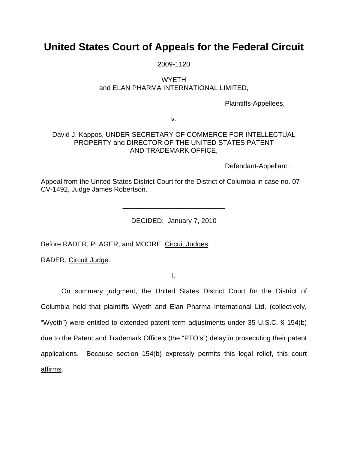# **United States Court of Appeals for the Federal Circuit**

2009-1120

#### **WYETH** and ELAN PHARMA INTERNATIONAL LIMITED,

Plaintiffs-Appellees,

v.

### David J. Kappos, UNDER SECRETARY OF COMMERCE FOR INTELLECTUAL PROPERTY and DIRECTOR OF THE UNITED STATES PATENT AND TRADEMARK OFFICE,

Defendant-Appellant.

Appeal from the United States District Court for the District of Columbia in case no. 07- CV-1492, Judge James Robertson.

> DECIDED: January 7, 2010 \_\_\_\_\_\_\_\_\_\_\_\_\_\_\_\_\_\_\_\_\_\_\_\_\_\_\_

> \_\_\_\_\_\_\_\_\_\_\_\_\_\_\_\_\_\_\_\_\_\_\_\_\_\_\_

Before RADER, PLAGER, and MOORE, Circuit Judges.

RADER, Circuit Judge.

I.

 On summary judgment, the United States District Court for the District of Columbia held that plaintiffs Wyeth and Elan Pharma International Ltd. (collectively, "Wyeth") were entitled to extended patent term adjustments under 35 U.S.C. § 154(b) due to the Patent and Trademark Office's (the "PTO's") delay in prosecuting their patent applications. Because section 154(b) expressly permits this legal relief, this court affirms.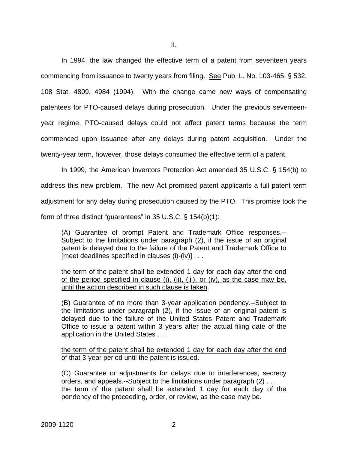In 1994, the law changed the effective term of a patent from seventeen years commencing from issuance to twenty years from filing. See Pub. L. No. 103-465, § 532, 108 Stat. 4809, 4984 (1994). With the change came new ways of compensating patentees for PTO-caused delays during prosecution. Under the previous seventeenyear regime, PTO-caused delays could not affect patent terms because the term commenced upon issuance after any delays during patent acquisition. Under the twenty-year term, however, those delays consumed the effective term of a patent.

 In 1999, the American Inventors Protection Act amended 35 U.S.C. § 154(b) to address this new problem. The new Act promised patent applicants a full patent term adjustment for any delay during prosecution caused by the PTO. This promise took the form of three distinct "guarantees" in 35 U.S.C. § 154(b)(1):

(A) Guarantee of prompt Patent and Trademark Office responses.-- Subject to the limitations under paragraph (2), if the issue of an original patent is delayed due to the failure of the Patent and Trademark Office to [meet deadlines specified in clauses (i)-(iv)] . . .

the term of the patent shall be extended 1 day for each day after the end of the period specified in clause (i), (ii), (iii), or (iv), as the case may be, until the action described in such clause is taken.

(B) Guarantee of no more than 3-year application pendency.--Subject to the limitations under paragraph (2), if the issue of an original patent is delayed due to the failure of the United States Patent and Trademark Office to issue a patent within 3 years after the actual filing date of the application in the United States . . .

the term of the patent shall be extended 1 day for each day after the end of that 3-year period until the patent is issued.

(C) Guarantee or adjustments for delays due to interferences, secrecy orders, and appeals.--Subject to the limitations under paragraph (2) . . . the term of the patent shall be extended 1 day for each day of the pendency of the proceeding, order, or review, as the case may be.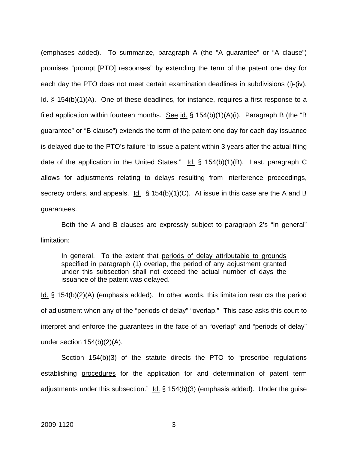(emphases added). To summarize, paragraph A (the "A guarantee" or "A clause") promises "prompt [PTO] responses" by extending the term of the patent one day for each day the PTO does not meet certain examination deadlines in subdivisions (i)-(iv).  $Id.$  § 154(b)(1)(A). One of these deadlines, for instance, requires a first response to a filed application within fourteen months. See id.  $\S$  154(b)(1)(A)(i). Paragraph B (the "B guarantee" or "B clause") extends the term of the patent one day for each day issuance is delayed due to the PTO's failure "to issue a patent within 3 years after the actual filing date of the application in the United States." Id. § 154(b)(1)(B). Last, paragraph C allows for adjustments relating to delays resulting from interference proceedings, secrecy orders, and appeals. Id.  $\S$  154(b)(1)(C). At issue in this case are the A and B guarantees.

 Both the A and B clauses are expressly subject to paragraph 2's "In general" limitation:

In general. To the extent that periods of delay attributable to grounds specified in paragraph (1) overlap, the period of any adjustment granted under this subsection shall not exceed the actual number of days the issuance of the patent was delayed.

 $\underline{Id}$ . § 154(b)(2)(A) (emphasis added). In other words, this limitation restricts the period of adjustment when any of the "periods of delay" "overlap." This case asks this court to interpret and enforce the guarantees in the face of an "overlap" and "periods of delay" under section 154(b)(2)(A).

Section 154(b)(3) of the statute directs the PTO to "prescribe regulations establishing procedures for the application for and determination of patent term adjustments under this subsection."  $\underline{Id.}$  § 154(b)(3) (emphasis added). Under the guise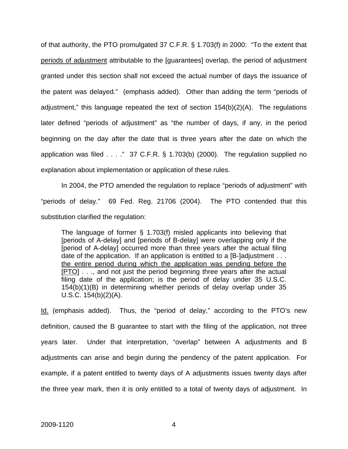of that authority, the PTO promulgated 37 C.F.R. § 1.703(f) in 2000: "To the extent that periods of adjustment attributable to the [guarantees] overlap, the period of adjustment granted under this section shall not exceed the actual number of days the issuance of the patent was delayed." (emphasis added). Other than adding the term "periods of adjustment," this language repeated the text of section  $154(b)(2)(A)$ . The regulations later defined "periods of adjustment" as "the number of days, if any, in the period beginning on the day after the date that is three years after the date on which the application was filed  $\ldots$  ." 37 C.F.R. § 1.703(b) (2000). The regulation supplied no explanation about implementation or application of these rules.

In 2004, the PTO amended the regulation to replace "periods of adjustment" with "periods of delay." 69 Fed. Reg. 21706 (2004). The PTO contended that this substitution clarified the regulation:

The language of former § 1.703(f) misled applicants into believing that [periods of A-delay] and [periods of B-delay] were overlapping only if the [period of A-delay] occurred more than three years after the actual filing date of the application. If an application is entitled to a [B-]adjustment . . . the entire period during which the application was pending before the [PTO] . . ., and not just the period beginning three years after the actual filing date of the application; is the period of delay under 35 U.S.C. 154(b)(1)(B) in determining whether periods of delay overlap under 35 U.S.C. 154(b)(2)(A).

Id. (emphasis added). Thus, the "period of delay," according to the PTO's new definition, caused the B guarantee to start with the filing of the application, not three years later. Under that interpretation, "overlap" between A adjustments and B adjustments can arise and begin during the pendency of the patent application. For example, if a patent entitled to twenty days of A adjustments issues twenty days after the three year mark, then it is only entitled to a total of twenty days of adjustment. In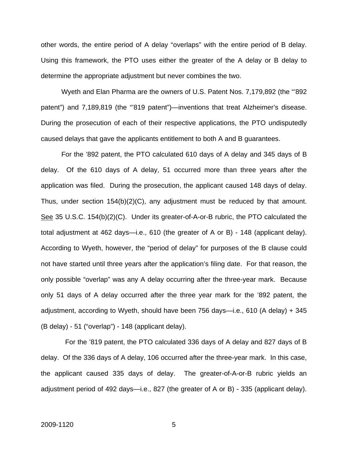other words, the entire period of A delay "overlaps" with the entire period of B delay. Using this framework, the PTO uses either the greater of the A delay or B delay to determine the appropriate adjustment but never combines the two.

 Wyeth and Elan Pharma are the owners of U.S. Patent Nos. 7,179,892 (the "'892 patent") and 7,189,819 (the "'819 patent")—inventions that treat Alzheimer's disease. During the prosecution of each of their respective applications, the PTO undisputedly caused delays that gave the applicants entitlement to both A and B guarantees.

 For the '892 patent, the PTO calculated 610 days of A delay and 345 days of B delay. Of the 610 days of A delay, 51 occurred more than three years after the application was filed. During the prosecution, the applicant caused 148 days of delay. Thus, under section 154(b)(2)(C), any adjustment must be reduced by that amount. See 35 U.S.C. 154(b)(2)(C). Under its greater-of-A-or-B rubric, the PTO calculated the total adjustment at 462 days—i.e., 610 (the greater of A or B) - 148 (applicant delay). According to Wyeth, however, the "period of delay" for purposes of the B clause could not have started until three years after the application's filing date. For that reason, the only possible "overlap" was any A delay occurring after the three-year mark. Because only 51 days of A delay occurred after the three year mark for the '892 patent, the adjustment, according to Wyeth, should have been 756 days—i.e., 610 (A delay) + 345 (B delay) - 51 ("overlap") - 148 (applicant delay).

 For the '819 patent, the PTO calculated 336 days of A delay and 827 days of B delay. Of the 336 days of A delay, 106 occurred after the three-year mark. In this case, the applicant caused 335 days of delay. The greater-of-A-or-B rubric yields an adjustment period of 492 days—i.e., 827 (the greater of A or B) - 335 (applicant delay).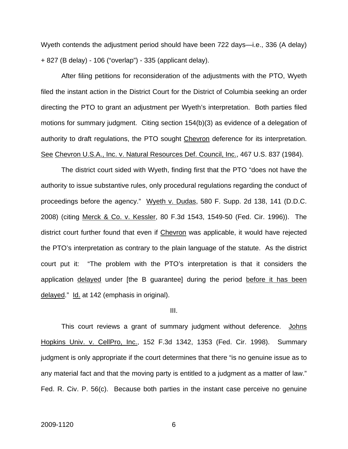Wyeth contends the adjustment period should have been 722 days—i.e., 336 (A delay) + 827 (B delay) - 106 ("overlap") - 335 (applicant delay).

 After filing petitions for reconsideration of the adjustments with the PTO, Wyeth filed the instant action in the District Court for the District of Columbia seeking an order directing the PTO to grant an adjustment per Wyeth's interpretation. Both parties filed motions for summary judgment. Citing section 154(b)(3) as evidence of a delegation of authority to draft regulations, the PTO sought Chevron deference for its interpretation. See Chevron U.S.A., Inc. v. Natural Resources Def. Council, Inc., 467 U.S. 837 (1984).

 The district court sided with Wyeth, finding first that the PTO "does not have the authority to issue substantive rules, only procedural regulations regarding the conduct of proceedings before the agency." Wyeth v. Dudas, 580 F. Supp. 2d 138, 141 (D.D.C. 2008) (citing Merck & Co. v. Kessler, 80 F.3d 1543, 1549-50 (Fed. Cir. 1996)). The district court further found that even if Chevron was applicable, it would have rejected the PTO's interpretation as contrary to the plain language of the statute. As the district court put it: "The problem with the PTO's interpretation is that it considers the application delayed under [the B guarantee] during the period before it has been delayed." Id. at 142 (emphasis in original).

#### III.

This court reviews a grant of summary judgment without deference. Johns Hopkins Univ. v. CellPro, Inc., 152 F.3d 1342, 1353 (Fed. Cir. 1998). Summary judgment is only appropriate if the court determines that there "is no genuine issue as to any material fact and that the moving party is entitled to a judgment as a matter of law." Fed. R. Civ. P. 56(c). Because both parties in the instant case perceive no genuine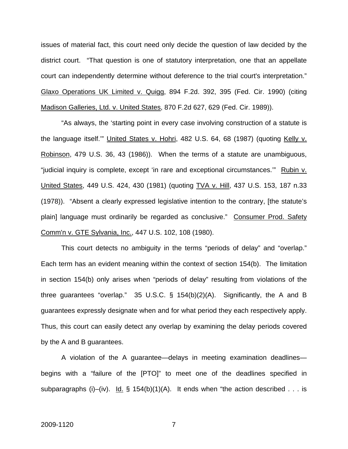issues of material fact, this court need only decide the question of law decided by the district court. "That question is one of statutory interpretation, one that an appellate court can independently determine without deference to the trial court's interpretation." Glaxo Operations UK Limited v. Quigg, 894 F.2d. 392, 395 (Fed. Cir. 1990) (citing Madison Galleries, Ltd. v. United States, 870 F.2d 627, 629 (Fed. Cir. 1989)).

"As always, the 'starting point in every case involving construction of a statute is the language itself.'" United States v. Hohri, 482 U.S. 64, 68 (1987) (quoting Kelly v. Robinson, 479 U.S. 36, 43 (1986)). When the terms of a statute are unambiguous, "judicial inquiry is complete, except 'in rare and exceptional circumstances." Rubin v. United States, 449 U.S. 424, 430 (1981) (quoting TVA v. Hill, 437 U.S. 153, 187 n.33 (1978)). "Absent a clearly expressed legislative intention to the contrary, [the statute's plain] language must ordinarily be regarded as conclusive." Consumer Prod. Safety Comm'n v. GTE Sylvania, Inc., 447 U.S. 102, 108 (1980).

This court detects no ambiguity in the terms "periods of delay" and "overlap." Each term has an evident meaning within the context of section 154(b). The limitation in section 154(b) only arises when "periods of delay" resulting from violations of the three guarantees "overlap." 35 U.S.C. § 154(b)(2)(A). Significantly, the A and B guarantees expressly designate when and for what period they each respectively apply. Thus, this court can easily detect any overlap by examining the delay periods covered by the A and B guarantees.

 A violation of the A guarantee—delays in meeting examination deadlines begins with a "failure of the [PTO]" to meet one of the deadlines specified in subparagraphs (i)–(iv).  $\underline{Id.}$  § 154(b)(1)(A). It ends when "the action described . . . is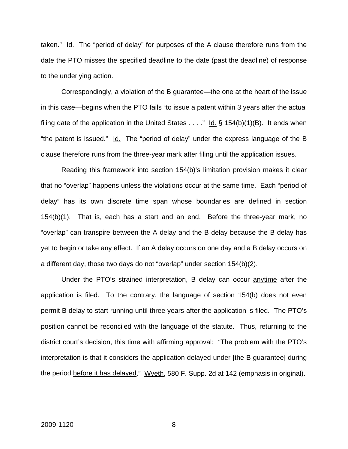taken." Id. The "period of delay" for purposes of the A clause therefore runs from the date the PTO misses the specified deadline to the date (past the deadline) of response to the underlying action.

 Correspondingly, a violation of the B guarantee—the one at the heart of the issue in this case—begins when the PTO fails "to issue a patent within 3 years after the actual filing date of the application in the United States . . . ." Id.  $\S$  154(b)(1)(B). It ends when "the patent is issued." Id. The "period of delay" under the express language of the B clause therefore runs from the three-year mark after filing until the application issues.

 Reading this framework into section 154(b)'s limitation provision makes it clear that no "overlap" happens unless the violations occur at the same time. Each "period of delay" has its own discrete time span whose boundaries are defined in section 154(b)(1). That is, each has a start and an end. Before the three-year mark, no "overlap" can transpire between the A delay and the B delay because the B delay has yet to begin or take any effect. If an A delay occurs on one day and a B delay occurs on a different day, those two days do not "overlap" under section 154(b)(2).

 Under the PTO's strained interpretation, B delay can occur anytime after the application is filed. To the contrary, the language of section 154(b) does not even permit B delay to start running until three years after the application is filed. The PTO's position cannot be reconciled with the language of the statute. Thus, returning to the district court's decision, this time with affirming approval: "The problem with the PTO's interpretation is that it considers the application delayed under [the B guarantee] during the period before it has delayed." Wyeth, 580 F. Supp. 2d at 142 (emphasis in original).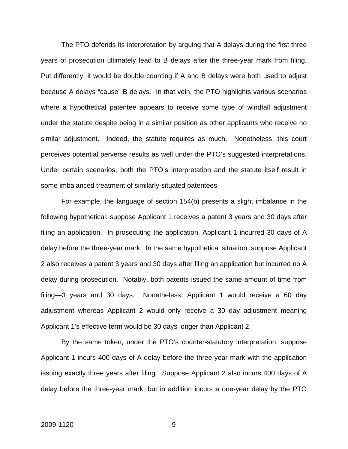The PTO defends its interpretation by arguing that A delays during the first three years of prosecution ultimately lead to B delays after the three-year mark from filing. Put differently, it would be double counting if A and B delays were both used to adjust because A delays "cause" B delays. In that vein, the PTO highlights various scenarios where a hypothetical patentee appears to receive some type of windfall adjustment under the statute despite being in a similar position as other applicants who receive no similar adjustment. Indeed, the statute requires as much. Nonetheless, this court perceives potential perverse results as well under the PTO's suggested interpretations. Under certain scenarios, both the PTO's interpretation and the statute itself result in some imbalanced treatment of similarly-situated patentees.

 For example, the language of section 154(b) presents a slight imbalance in the following hypothetical: suppose Applicant 1 receives a patent 3 years and 30 days after filing an application. In prosecuting the application, Applicant 1 incurred 30 days of A delay before the three-year mark. In the same hypothetical situation, suppose Applicant 2 also receives a patent 3 years and 30 days after filing an application but incurred no A delay during prosecution. Notably, both patents issued the same amount of time from filing—3 years and 30 days. Nonetheless, Applicant 1 would receive a 60 day adjustment whereas Applicant 2 would only receive a 30 day adjustment meaning Applicant 1's effective term would be 30 days longer than Applicant 2.

 By the same token, under the PTO's counter-statutory interpretation, suppose Applicant 1 incurs 400 days of A delay before the three-year mark with the application issuing exactly three years after filing. Suppose Applicant 2 also incurs 400 days of A delay before the three-year mark, but in addition incurs a one-year delay by the PTO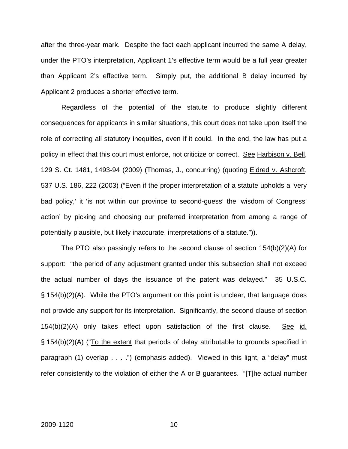after the three-year mark. Despite the fact each applicant incurred the same A delay, under the PTO's interpretation, Applicant 1's effective term would be a full year greater than Applicant 2's effective term. Simply put, the additional B delay incurred by Applicant 2 produces a shorter effective term.

Regardless of the potential of the statute to produce slightly different consequences for applicants in similar situations, this court does not take upon itself the role of correcting all statutory inequities, even if it could. In the end, the law has put a policy in effect that this court must enforce, not criticize or correct. See Harbison v. Bell, 129 S. Ct. 1481, 1493-94 (2009) (Thomas, J., concurring) (quoting Eldred v. Ashcroft, 537 U.S. 186, 222 (2003) ("Even if the proper interpretation of a statute upholds a 'very bad policy,' it 'is not within our province to second-guess' the 'wisdom of Congress' action' by picking and choosing our preferred interpretation from among a range of potentially plausible, but likely inaccurate, interpretations of a statute.")).

 The PTO also passingly refers to the second clause of section 154(b)(2)(A) for support: "the period of any adjustment granted under this subsection shall not exceed the actual number of days the issuance of the patent was delayed." 35 U.S.C. § 154(b)(2)(A). While the PTO's argument on this point is unclear, that language does not provide any support for its interpretation. Significantly, the second clause of section  $154(b)(2)(A)$  only takes effect upon satisfaction of the first clause. See id. § 154(b)(2)(A) ("To the extent that periods of delay attributable to grounds specified in paragraph (1) overlap . . . .") (emphasis added). Viewed in this light, a "delay" must refer consistently to the violation of either the A or B guarantees. "[T]he actual number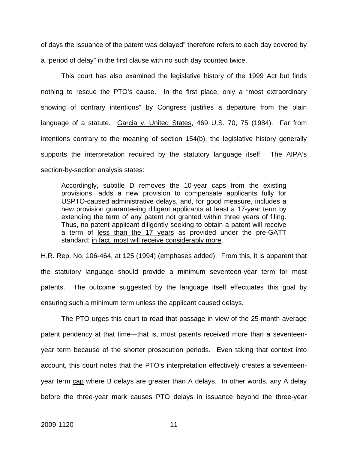of days the issuance of the patent was delayed" therefore refers to each day covered by a "period of delay" in the first clause with no such day counted twice.

 This court has also examined the legislative history of the 1999 Act but finds nothing to rescue the PTO's cause. In the first place, only a "most extraordinary showing of contrary intentions" by Congress justifies a departure from the plain language of a statute. Garcia v. United States, 469 U.S. 70, 75 (1984). Far from intentions contrary to the meaning of section 154(b), the legislative history generally supports the interpretation required by the statutory language itself. The AIPA's section-by-section analysis states:

Accordingly, subtitle D removes the 10-year caps from the existing provisions, adds a new provision to compensate applicants fully for USPTO-caused administrative delays, and, for good measure, includes a new provision guaranteeing diligent applicants at least a 17-year term by extending the term of any patent not granted within three years of filing. Thus, no patent applicant diligently seeking to obtain a patent will receive a term of less than the 17 years as provided under the pre-GATT standard; in fact, most will receive considerably more.

H.R. Rep. No. 106-464, at 125 (1994) (emphases added). From this, it is apparent that the statutory language should provide a minimum seventeen-year term for most patents. The outcome suggested by the language itself effectuates this goal by ensuring such a minimum term unless the applicant caused delays.

 The PTO urges this court to read that passage in view of the 25-month average patent pendency at that time—that is, most patents received more than a seventeenyear term because of the shorter prosecution periods. Even taking that context into account, this court notes that the PTO's interpretation effectively creates a seventeenyear term cap where B delays are greater than A delays. In other words, any A delay before the three-year mark causes PTO delays in issuance beyond the three-year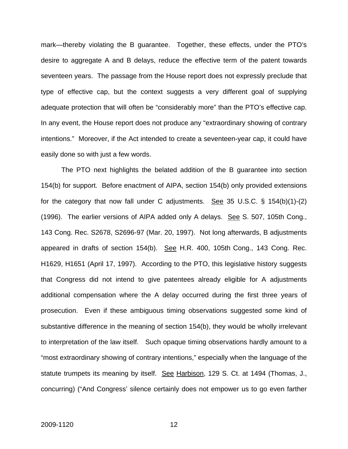mark—thereby violating the B guarantee. Together, these effects, under the PTO's desire to aggregate A and B delays, reduce the effective term of the patent towards seventeen years. The passage from the House report does not expressly preclude that type of effective cap, but the context suggests a very different goal of supplying adequate protection that will often be "considerably more" than the PTO's effective cap. In any event, the House report does not produce any "extraordinary showing of contrary intentions." Moreover, if the Act intended to create a seventeen-year cap, it could have easily done so with just a few words.

 The PTO next highlights the belated addition of the B guarantee into section 154(b) for support. Before enactment of AIPA, section 154(b) only provided extensions for the category that now fall under C adjustments. See 35 U.S.C.  $\S$  154(b)(1)-(2) (1996). The earlier versions of AIPA added only A delays. See S. 507, 105th Cong., 143 Cong. Rec. S2678, S2696-97 (Mar. 20, 1997). Not long afterwards, B adjustments appeared in drafts of section 154(b). See H.R. 400, 105th Cong., 143 Cong. Rec. H1629, H1651 (April 17, 1997). According to the PTO, this legislative history suggests that Congress did not intend to give patentees already eligible for A adjustments additional compensation where the A delay occurred during the first three years of prosecution. Even if these ambiguous timing observations suggested some kind of substantive difference in the meaning of section 154(b), they would be wholly irrelevant to interpretation of the law itself. Such opaque timing observations hardly amount to a "most extraordinary showing of contrary intentions," especially when the language of the statute trumpets its meaning by itself. See Harbison, 129 S. Ct. at 1494 (Thomas, J., concurring) ("And Congress' silence certainly does not empower us to go even farther